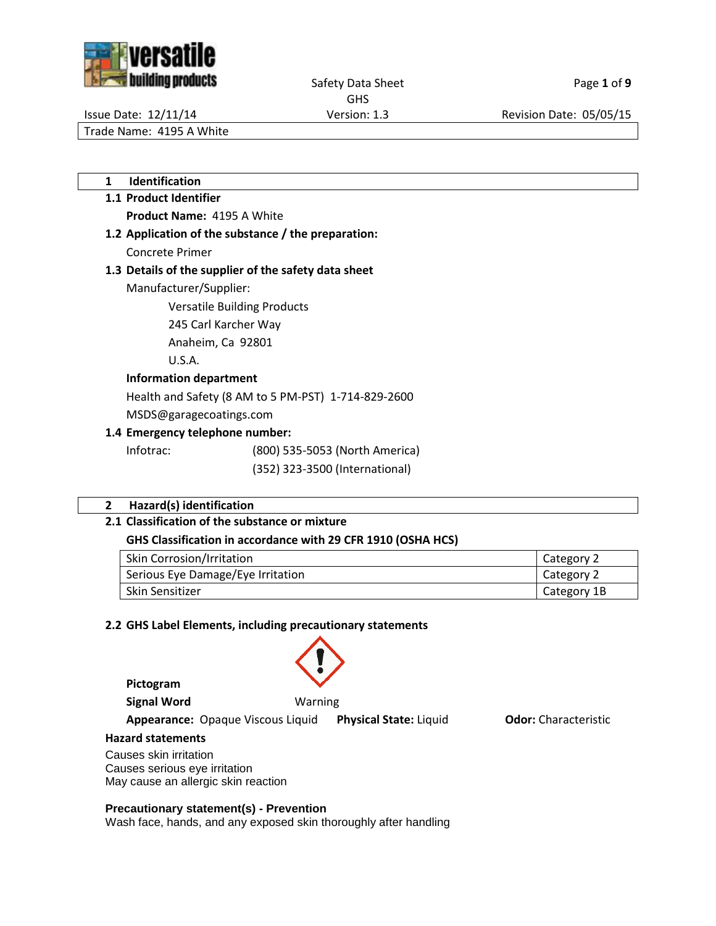



Safety Data Sheet Page 1 of 9

GHS

Issue Date: 12/11/14 Version: 1.3 Revision Date: 05/05/15

Trade Name: 4195 A White

**1 Identification**

# **1.1 Product Identifier Product Name:** 4195 A White

**1.2 Application of the substance / the preparation:** Concrete Primer

# **1.3 Details of the supplier of the safety data sheet**

Manufacturer/Supplier:

Versatile Building Products

245 Carl Karcher Way

Anaheim, Ca 92801

U.S.A.

# **Information department**

Health and Safety (8 AM to 5 PM-PST) 1-714-829-2600

MSDS@garagecoatings.com

# **1.4 Emergency telephone number:**

Infotrac: (800) 535-5053 (North America)

(352) 323-3500 (International)

# **2 Hazard(s) identification**

# **2.1 Classification of the substance or mixture**

# **GHS Classification in accordance with 29 CFR 1910 (OSHA HCS)**

| Skin Corrosion/Irritation         | Category 2  |
|-----------------------------------|-------------|
| Serious Eye Damage/Eye Irritation | Category 2  |
| Skin Sensitizer                   | Category 1B |

# **2.2 GHS Label Elements, including precautionary statements**

**Pictogram**

**Signal Word** Warning

**Appearance:** Opaque Viscous Liquid **Physical State:** Liquid **Odor:** Characteristic

#### **Hazard statements**

Causes skin irritation Causes serious eye irritation May cause an allergic skin reaction

# **Precautionary statement(s) - Prevention**

Wash face, hands, and any exposed skin thoroughly after handling

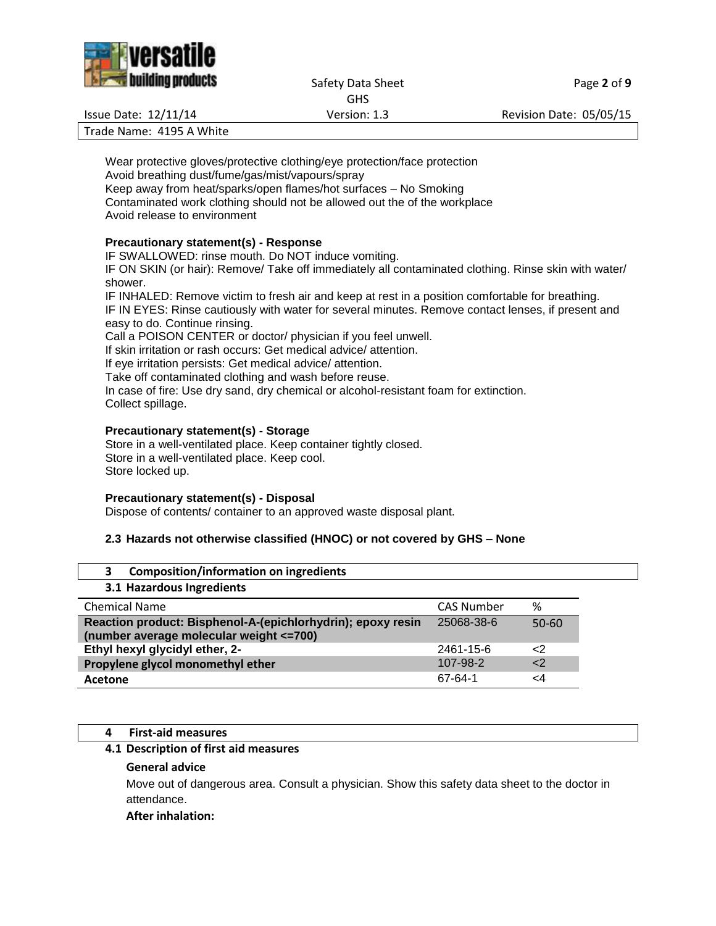

#### Safety Data Sheet Page 2 of 9 GHS

Issue Date: 12/11/14 Version: 1.3 Revision Date: 05/05/15

Trade Name: 4195 A White

Wear protective gloves/protective clothing/eye protection/face protection Avoid breathing dust/fume/gas/mist/vapours/spray Keep away from heat/sparks/open flames/hot surfaces – No Smoking Contaminated work clothing should not be allowed out the of the workplace Avoid release to environment

# **Precautionary statement(s) - Response**

IF SWALLOWED: rinse mouth. Do NOT induce vomiting.

IF ON SKIN (or hair): Remove/ Take off immediately all contaminated clothing. Rinse skin with water/ shower.

IF INHALED: Remove victim to fresh air and keep at rest in a position comfortable for breathing. IF IN EYES: Rinse cautiously with water for several minutes. Remove contact lenses, if present and easy to do. Continue rinsing.

Call a POISON CENTER or doctor/ physician if you feel unwell.

If skin irritation or rash occurs: Get medical advice/ attention.

If eye irritation persists: Get medical advice/ attention.

Take off contaminated clothing and wash before reuse.

In case of fire: Use dry sand, dry chemical or alcohol-resistant foam for extinction. Collect spillage.

# **Precautionary statement(s) - Storage**

Store in a well-ventilated place. Keep container tightly closed. Store in a well-ventilated place. Keep cool. Store locked up.

# **Precautionary statement(s) - Disposal**

Dispose of contents/ container to an approved waste disposal plant.

# **2.3 Hazards not otherwise classified (HNOC) or not covered by GHS – None**

| <b>Composition/information on ingredients</b><br>3                                                      |                   |             |
|---------------------------------------------------------------------------------------------------------|-------------------|-------------|
| 3.1 Hazardous Ingredients                                                                               |                   |             |
| <b>Chemical Name</b>                                                                                    | <b>CAS Number</b> | %           |
| Reaction product: Bisphenol-A-(epichlorhydrin); epoxy resin<br>(number average molecular weight <= 700) | 25068-38-6        | $50 - 60$   |
| Ethyl hexyl glycidyl ether, 2-                                                                          | 2461-15-6         | $\langle$ 2 |
| Propylene glycol monomethyl ether                                                                       | 107-98-2          | <           |
| Acetone                                                                                                 | 67-64-1           | 4ے          |

# **4 First-aid measures**

# **4.1 Description of first aid measures**

# **General advice**

Move out of dangerous area. Consult a physician. Show this safety data sheet to the doctor in attendance.

# **After inhalation:**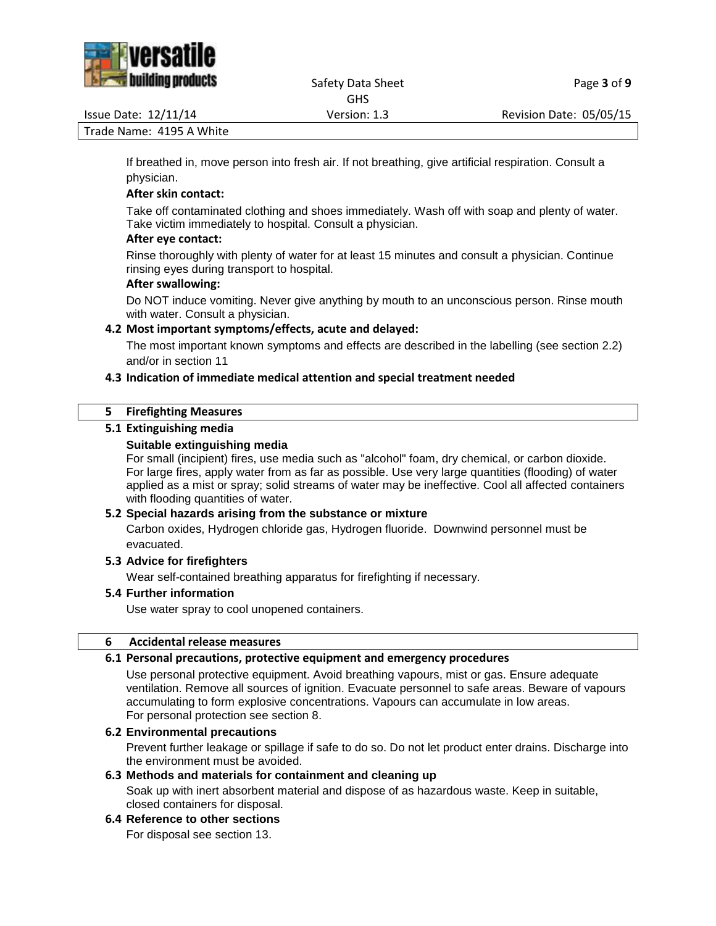

#### Safety Data Sheet Page 3 of 9 GHS

Issue Date: 12/11/14 Version: 1.3 Revision Date: 05/05/15

Trade Name: 4195 A White

If breathed in, move person into fresh air. If not breathing, give artificial respiration. Consult a physician.

# **After skin contact:**

Take off contaminated clothing and shoes immediately. Wash off with soap and plenty of water. Take victim immediately to hospital. Consult a physician.

## **After eye contact:**

Rinse thoroughly with plenty of water for at least 15 minutes and consult a physician. Continue rinsing eyes during transport to hospital.

## **After swallowing:**

Do NOT induce vomiting. Never give anything by mouth to an unconscious person. Rinse mouth with water. Consult a physician.

# **4.2 Most important symptoms/effects, acute and delayed:**

The most important known symptoms and effects are described in the labelling (see section 2.2) and/or in section 11

# **4.3 Indication of immediate medical attention and special treatment needed**

## **5 Firefighting Measures**

# **5.1 Extinguishing media**

## **Suitable extinguishing media**

For small (incipient) fires, use media such as "alcohol" foam, dry chemical, or carbon dioxide. For large fires, apply water from as far as possible. Use very large quantities (flooding) of water applied as a mist or spray; solid streams of water may be ineffective. Cool all affected containers with flooding quantities of water.

#### **5.2 Special hazards arising from the substance or mixture**

Carbon oxides, Hydrogen chloride gas, Hydrogen fluoride. Downwind personnel must be evacuated.

#### **5.3 Advice for firefighters**

Wear self-contained breathing apparatus for firefighting if necessary.

#### **5.4 Further information**

Use water spray to cool unopened containers.

#### **6 Accidental release measures**

# **6.1 Personal precautions, protective equipment and emergency procedures**

Use personal protective equipment. Avoid breathing vapours, mist or gas. Ensure adequate ventilation. Remove all sources of ignition. Evacuate personnel to safe areas. Beware of vapours accumulating to form explosive concentrations. Vapours can accumulate in low areas. For personal protection see section 8.

## **6.2 Environmental precautions**

Prevent further leakage or spillage if safe to do so. Do not let product enter drains. Discharge into the environment must be avoided.

# **6.3 Methods and materials for containment and cleaning up**

Soak up with inert absorbent material and dispose of as hazardous waste. Keep in suitable, closed containers for disposal.

## **6.4 Reference to other sections**

For disposal see section 13.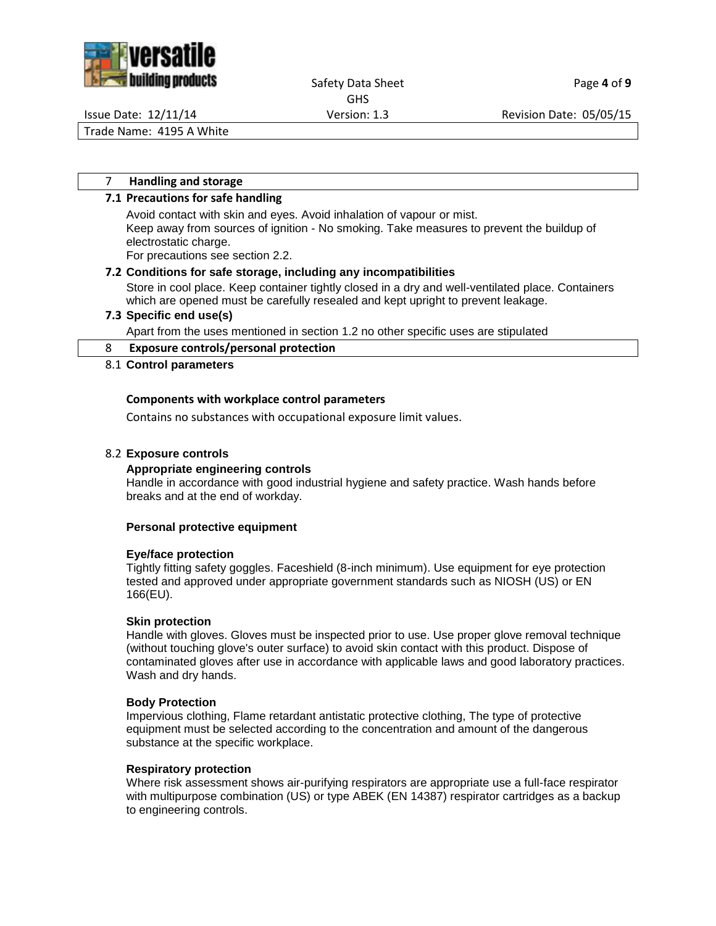

#### Safety Data Sheet Page 4 of 9 GHS

Issue Date: 12/11/14 Version: 1.3 Revision Date: 05/05/15

Trade Name: 4195 A White

### 7 **Handling and storage**

### **7.1 Precautions for safe handling**

Avoid contact with skin and eyes. Avoid inhalation of vapour or mist. Keep away from sources of ignition - No smoking. Take measures to prevent the buildup of electrostatic charge.

For precautions see section 2.2.

# **7.2 Conditions for safe storage, including any incompatibilities**

Store in cool place. Keep container tightly closed in a dry and well-ventilated place. Containers which are opened must be carefully resealed and kept upright to prevent leakage.

## **7.3 Specific end use(s)**

Apart from the uses mentioned in section 1.2 no other specific uses are stipulated

#### 8 **Exposure controls/personal protection**

## 8.1 **Control parameters**

## **Components with workplace control parameters**

Contains no substances with occupational exposure limit values.

## 8.2 **Exposure controls**

### **Appropriate engineering controls**

Handle in accordance with good industrial hygiene and safety practice. Wash hands before breaks and at the end of workday.

#### **Personal protective equipment**

#### **Eye/face protection**

Tightly fitting safety goggles. Faceshield (8-inch minimum). Use equipment for eye protection tested and approved under appropriate government standards such as NIOSH (US) or EN 166(EU).

#### **Skin protection**

Handle with gloves. Gloves must be inspected prior to use. Use proper glove removal technique (without touching glove's outer surface) to avoid skin contact with this product. Dispose of contaminated gloves after use in accordance with applicable laws and good laboratory practices. Wash and dry hands.

#### **Body Protection**

Impervious clothing, Flame retardant antistatic protective clothing, The type of protective equipment must be selected according to the concentration and amount of the dangerous substance at the specific workplace.

#### **Respiratory protection**

Where risk assessment shows air-purifying respirators are appropriate use a full-face respirator with multipurpose combination (US) or type ABEK (EN 14387) respirator cartridges as a backup to engineering controls.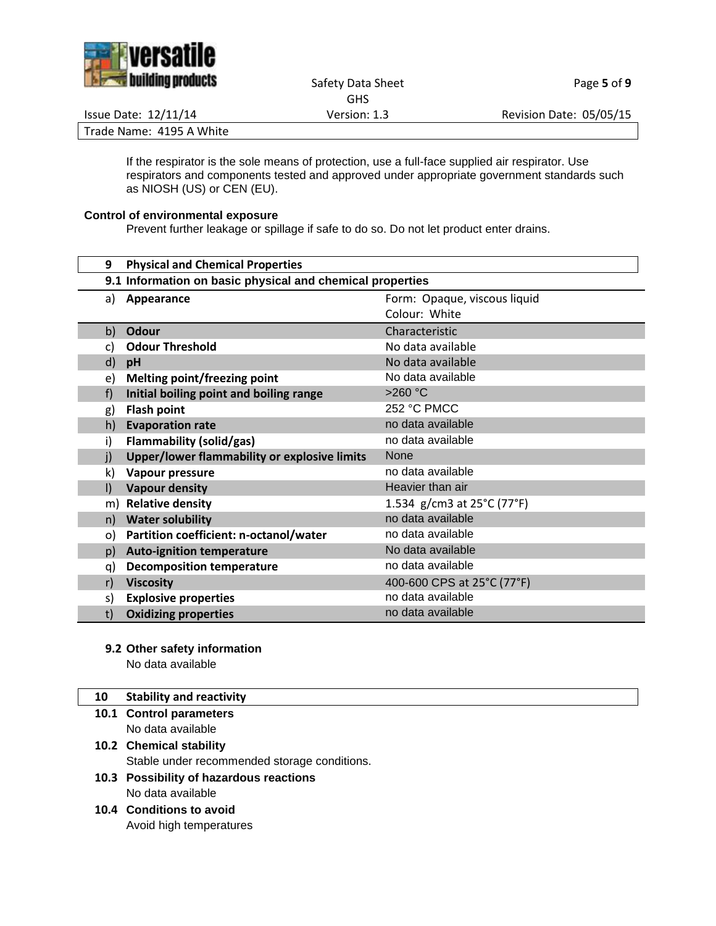

Safety Data Sheet Page 5 of 9 GHS

Issue Date: 12/11/14 Version: 1.3 Revision Date: 05/05/15

Trade Name: 4195 A White

If the respirator is the sole means of protection, use a full-face supplied air respirator. Use respirators and components tested and approved under appropriate government standards such as NIOSH (US) or CEN (EU).

# **Control of environmental exposure**

Prevent further leakage or spillage if safe to do so. Do not let product enter drains.

| 9            | <b>Physical and Chemical Properties</b>                   |                                                 |  |
|--------------|-----------------------------------------------------------|-------------------------------------------------|--|
|              | 9.1 Information on basic physical and chemical properties |                                                 |  |
| a)           | Appearance                                                | Form: Opaque, viscous liquid                    |  |
|              |                                                           | Colour: White                                   |  |
| b)           | Odour                                                     | Characteristic                                  |  |
| C)           | <b>Odour Threshold</b>                                    | No data available                               |  |
| d)           | pH                                                        | No data available                               |  |
| e)           | Melting point/freezing point                              | No data available                               |  |
| f)           | Initial boiling point and boiling range                   | $>260$ °C                                       |  |
| g)           | <b>Flash point</b>                                        | 252 °C PMCC                                     |  |
| h)           | <b>Evaporation rate</b>                                   | no data available                               |  |
| i)           | <b>Flammability (solid/gas)</b>                           | no data available                               |  |
| j)           | Upper/lower flammability or explosive limits              | <b>None</b>                                     |  |
| k)           | Vapour pressure                                           | no data available                               |  |
| $\mathsf{I}$ | <b>Vapour density</b>                                     | Heavier than air                                |  |
| m)           | <b>Relative density</b>                                   | 1.534 g/cm3 at $25^{\circ}$ C (77 $^{\circ}$ F) |  |
| n)           | <b>Water solubility</b>                                   | no data available                               |  |
| o)           | Partition coefficient: n-octanol/water                    | no data available                               |  |
| p)           | <b>Auto-ignition temperature</b>                          | No data available                               |  |
| q)           | <b>Decomposition temperature</b>                          | no data available                               |  |
| r)           | <b>Viscosity</b>                                          | 400-600 CPS at 25°C (77°F)                      |  |
| s)           | <b>Explosive properties</b>                               | no data available                               |  |
| t)           | <b>Oxidizing properties</b>                               | no data available                               |  |

**9.2 Other safety information**

No data available

# **10 Stability and reactivity**

- **10.1 Control parameters** No data available
- **10.2 Chemical stability** Stable under recommended storage conditions.
- **10.3 Possibility of hazardous reactions** No data available
- **10.4 Conditions to avoid** Avoid high temperatures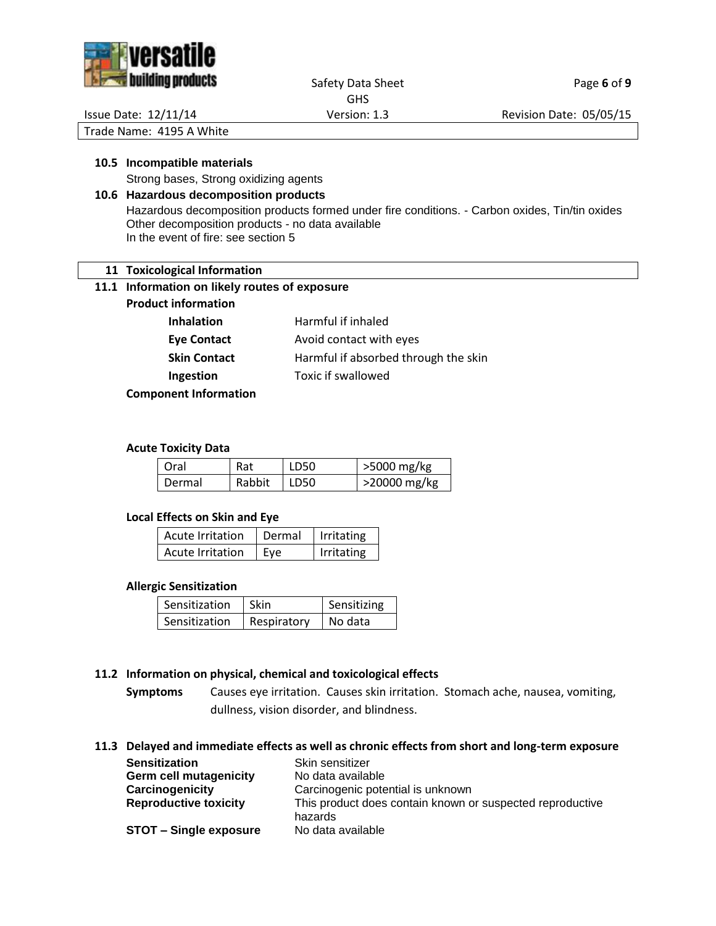

# Safety Data Sheet Page 6 of 9

GHS

Issue Date: 12/11/14 Version: 1.3 Revision Date: 05/05/15

Trade Name: 4195 A White

### **10.5 Incompatible materials**

Strong bases, Strong oxidizing agents

# **10.6 Hazardous decomposition products**

Hazardous decomposition products formed under fire conditions. - Carbon oxides, Tin/tin oxides Other decomposition products - no data available In the event of fire: see section 5

## **11 Toxicological Information**

#### **11.1 Information on likely routes of exposure**

**Product information**

| <b>Inhalation</b> | Harmful if inhaled                   |
|-------------------|--------------------------------------|
| Eye Contact       | Avoid contact with eyes              |
| Skin Contact      | Harmful if absorbed through the skin |
| <b>Ingestion</b>  | Toxic if swallowed                   |
|                   |                                      |

**Component Information**

#### **Acute Toxicity Data**

| Oral   | Rat    | LD50 | >5000 mg/kg  |
|--------|--------|------|--------------|
| Dermal | Rabbit | LD50 | >20000 mg/kg |

#### **Local Effects on Skin and Eye**

| Acute Irritation | Dermal | Irritating |
|------------------|--------|------------|
| Acute Irritation | Eve    | Irritating |

#### **Allergic Sensitization**

| Sensitization | Skin        | Sensitizing |
|---------------|-------------|-------------|
| Sensitization | Respiratory | No data     |

#### **11.2 Information on physical, chemical and toxicological effects**

**Symptoms** Causes eye irritation. Causes skin irritation. Stomach ache, nausea, vomiting, dullness, vision disorder, and blindness.

## **11.3 Delayed and immediate effects as well as chronic effects from short and long-term exposure**

| <b>Sensitization</b>          | Skin sensitizer                                           |
|-------------------------------|-----------------------------------------------------------|
| <b>Germ cell mutagenicity</b> | No data available                                         |
| Carcinogenicity               | Carcinogenic potential is unknown                         |
| <b>Reproductive toxicity</b>  | This product does contain known or suspected reproductive |
|                               | hazards                                                   |
| <b>STOT - Single exposure</b> | No data available                                         |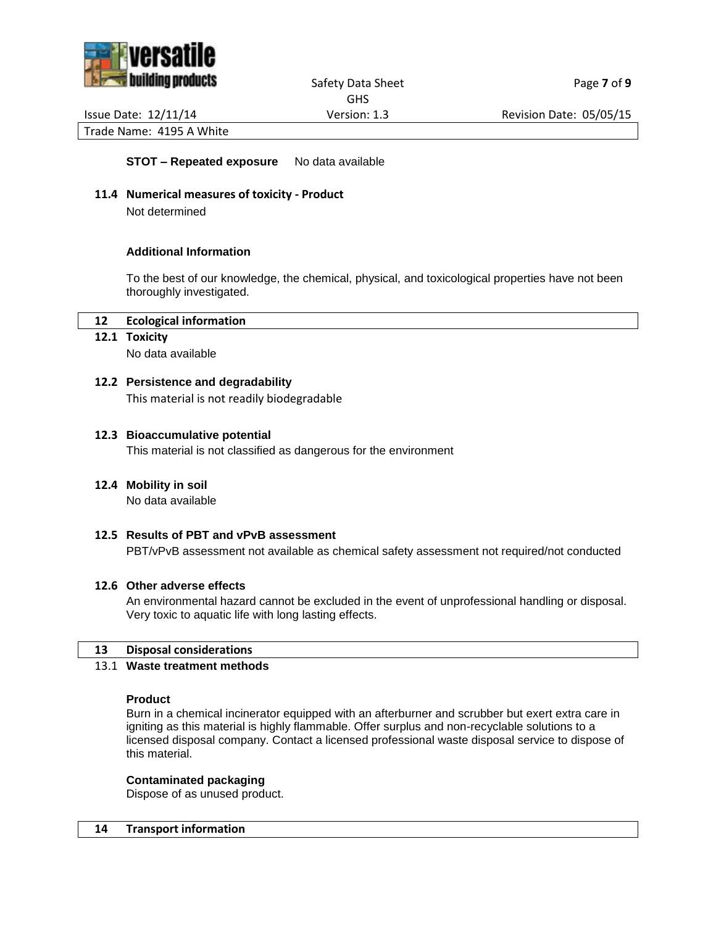

### Safety Data Sheet Page **7** of 9 GHS

Issue Date: 12/11/14 Version: 1.3 Revision Date: 05/05/15

Trade Name: 4195 A White

**STOT – Repeated exposure** No data available

**11.4 Numerical measures of toxicity - Product**

Not determined

## **Additional Information**

To the best of our knowledge, the chemical, physical, and toxicological properties have not been thoroughly investigated.

## **12 Ecological information**

#### **12.1 Toxicity**

No data available

## **12.2 Persistence and degradability**

This material is not readily biodegradable

#### **12.3 Bioaccumulative potential**

This material is not classified as dangerous for the environment

#### **12.4 Mobility in soil**

No data available

# **12.5 Results of PBT and vPvB assessment**

PBT/vPvB assessment not available as chemical safety assessment not required/not conducted

#### **12.6 Other adverse effects**

An environmental hazard cannot be excluded in the event of unprofessional handling or disposal. Very toxic to aquatic life with long lasting effects.

#### **13 Disposal considerations**

### 13.1 **Waste treatment methods**

#### **Product**

Burn in a chemical incinerator equipped with an afterburner and scrubber but exert extra care in igniting as this material is highly flammable. Offer surplus and non-recyclable solutions to a licensed disposal company. Contact a licensed professional waste disposal service to dispose of this material.

#### **Contaminated packaging**

Dispose of as unused product.

#### **14 Transport information**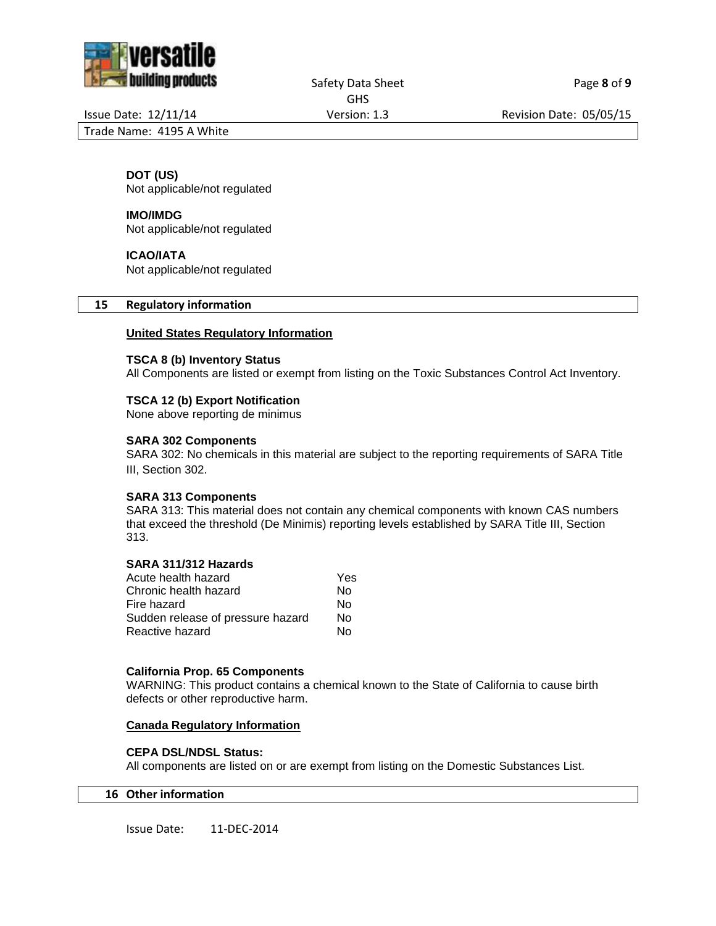

Safety Data Sheet Page 8 of 9 GHS

Issue Date: 12/11/14 Version: 1.3 Revision Date: 05/05/15

Trade Name: 4195 A White

# **DOT (US)**

Not applicable/not regulated

## **IMO/IMDG**

Not applicable/not regulated

#### **ICAO/IATA**

Not applicable/not regulated

## **15 Regulatory information**

## **United States Regulatory Information**

#### **TSCA 8 (b) Inventory Status**

All Components are listed or exempt from listing on the Toxic Substances Control Act Inventory.

## **TSCA 12 (b) Export Notification**

None above reporting de minimus

## **SARA 302 Components**

SARA 302: No chemicals in this material are subject to the reporting requirements of SARA Title III, Section 302.

#### **SARA 313 Components**

SARA 313: This material does not contain any chemical components with known CAS numbers that exceed the threshold (De Minimis) reporting levels established by SARA Title III, Section 313.

# **SARA 311/312 Hazards**

| Acute health hazard               | Yes |
|-----------------------------------|-----|
| Chronic health hazard             | N٥  |
| Fire hazard                       | N٥  |
| Sudden release of pressure hazard | N٥  |
| Reactive hazard                   | N٥  |
|                                   |     |

#### **California Prop. 65 Components**

WARNING: This product contains a chemical known to the State of California to cause birth defects or other reproductive harm.

#### **Canada Regulatory Information**

#### **CEPA DSL/NDSL Status:**

All components are listed on or are exempt from listing on the Domestic Substances List.

# **16 Other information**

Issue Date: 11-DEC-2014